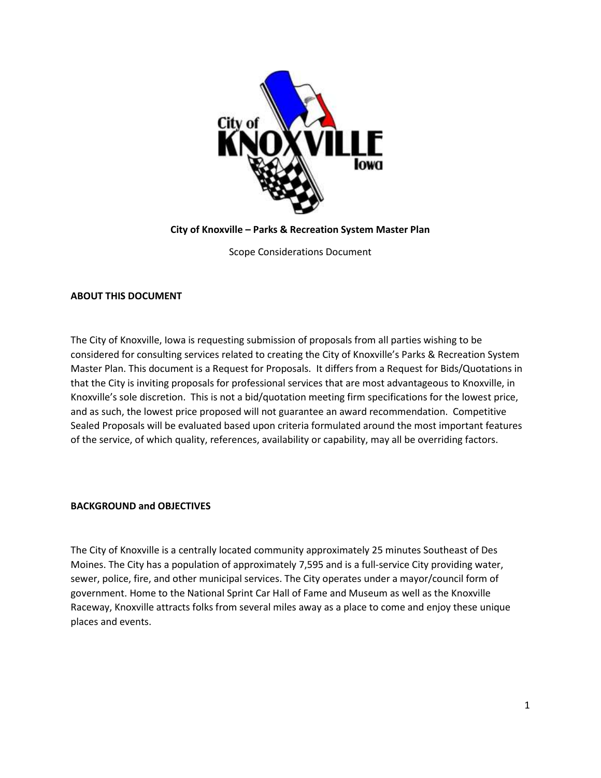

**City of Knoxville – Parks & Recreation System Master Plan**

Scope Considerations Document

# **ABOUT THIS DOCUMENT**

The City of Knoxville, Iowa is requesting submission of proposals from all parties wishing to be considered for consulting services related to creating the City of Knoxville's Parks & Recreation System Master Plan. This document is a Request for Proposals. It differs from a Request for Bids/Quotations in that the City is inviting proposals for professional services that are most advantageous to Knoxville, in Knoxville's sole discretion. This is not a bid/quotation meeting firm specifications for the lowest price, and as such, the lowest price proposed will not guarantee an award recommendation. Competitive Sealed Proposals will be evaluated based upon criteria formulated around the most important features of the service, of which quality, references, availability or capability, may all be overriding factors.

#### **BACKGROUND and OBJECTIVES**

The City of Knoxville is a centrally located community approximately 25 minutes Southeast of Des Moines. The City has a population of approximately 7,595 and is a full-service City providing water, sewer, police, fire, and other municipal services. The City operates under a mayor/council form of government. Home to the National Sprint Car Hall of Fame and Museum as well as the Knoxville Raceway, Knoxville attracts folks from several miles away as a place to come and enjoy these unique places and events.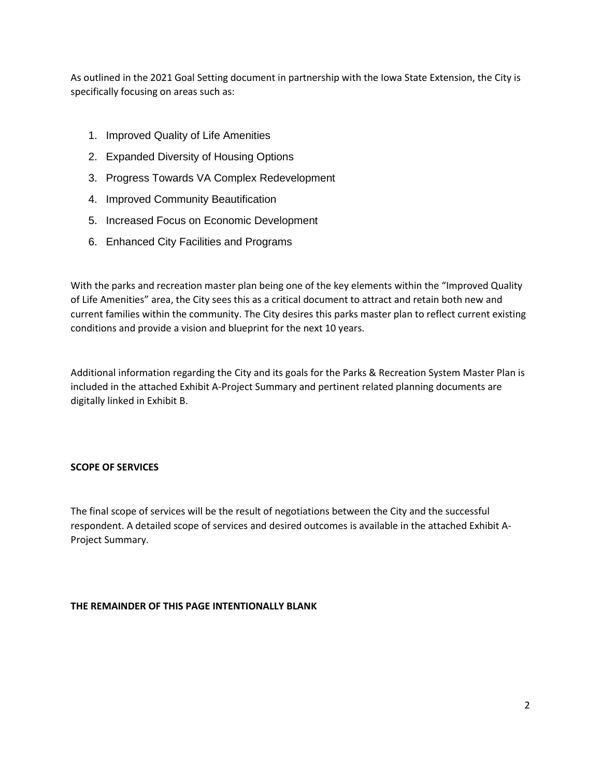As outlined in the 2021 Goal Setting document in partnership with the Iowa State Extension, the City is specifically focusing on areas such as:

- 1. Improved Quality of Life Amenities
- 2. Expanded Diversity of Housing Options
- 3. Progress Towards VA Complex Redevelopment
- 4. Improved Community Beautification
- 5. Increased Focus on Economic Development
- 6. Enhanced City Facilities and Programs

With the parks and recreation master plan being one of the key elements within the "Improved Quality of Life Amenities" area, the City sees this as a critical document to attract and retain both new and current families within the community. The City desires this parks master plan to reflect current existing conditions and provide a vision and blueprint for the next 10 years.

Additional information regarding the City and its goals for the Parks & Recreation System Master Plan is included in the attached Exhibit A-Project Summary and pertinent related planning documents are digitally linked in Exhibit B.

# **SCOPE OF SERVICES**

The final scope of services will be the result of negotiations between the City and the successful respondent. A detailed scope of services and desired outcomes is available in the attached Exhibit A-Project Summary.

# **THE REMAINDER OF THIS PAGE INTENTIONALLY BLANK**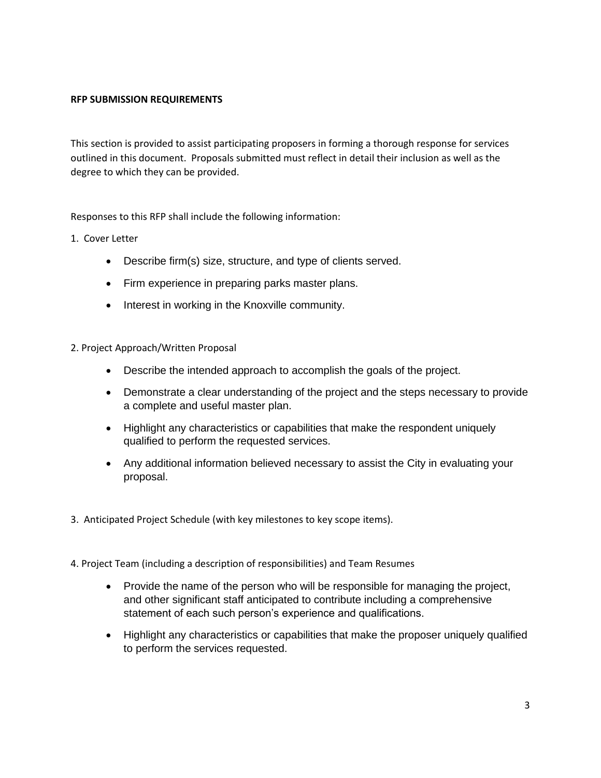# **RFP SUBMISSION REQUIREMENTS**

This section is provided to assist participating proposers in forming a thorough response for services outlined in this document. Proposals submitted must reflect in detail their inclusion as well as the degree to which they can be provided.

Responses to this RFP shall include the following information:

- 1. Cover Letter
	- Describe firm(s) size, structure, and type of clients served.
	- Firm experience in preparing parks master plans.
	- Interest in working in the Knoxville community.
- 2. Project Approach/Written Proposal
	- Describe the intended approach to accomplish the goals of the project.
	- Demonstrate a clear understanding of the project and the steps necessary to provide a complete and useful master plan.
	- Highlight any characteristics or capabilities that make the respondent uniquely qualified to perform the requested services.
	- Any additional information believed necessary to assist the City in evaluating your proposal.
- 3. Anticipated Project Schedule (with key milestones to key scope items).
- 4. Project Team (including a description of responsibilities) and Team Resumes
	- Provide the name of the person who will be responsible for managing the project, and other significant staff anticipated to contribute including a comprehensive statement of each such person's experience and qualifications.
	- Highlight any characteristics or capabilities that make the proposer uniquely qualified to perform the services requested.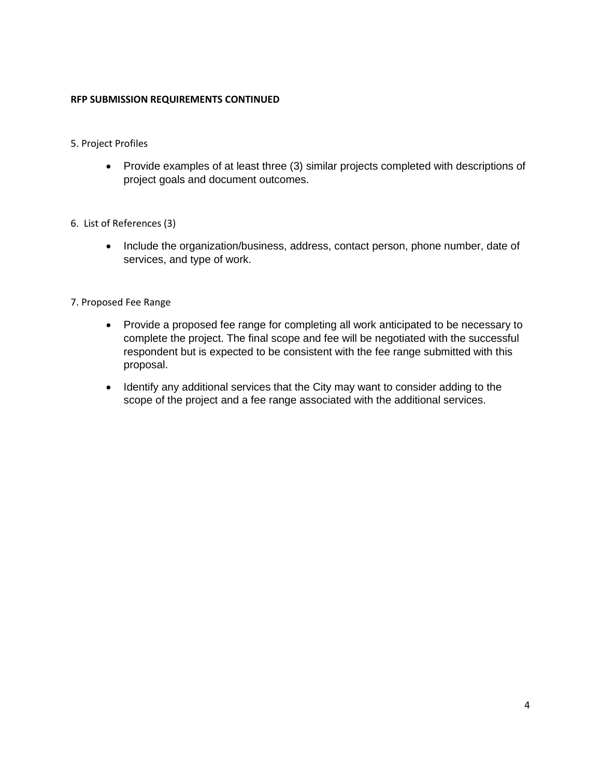## **RFP SUBMISSION REQUIREMENTS CONTINUED**

- 5. Project Profiles
	- Provide examples of at least three (3) similar projects completed with descriptions of project goals and document outcomes.
- 6. List of References (3)
	- Include the organization/business, address, contact person, phone number, date of services, and type of work.
- 7. Proposed Fee Range
	- Provide a proposed fee range for completing all work anticipated to be necessary to complete the project. The final scope and fee will be negotiated with the successful respondent but is expected to be consistent with the fee range submitted with this proposal.
	- Identify any additional services that the City may want to consider adding to the scope of the project and a fee range associated with the additional services.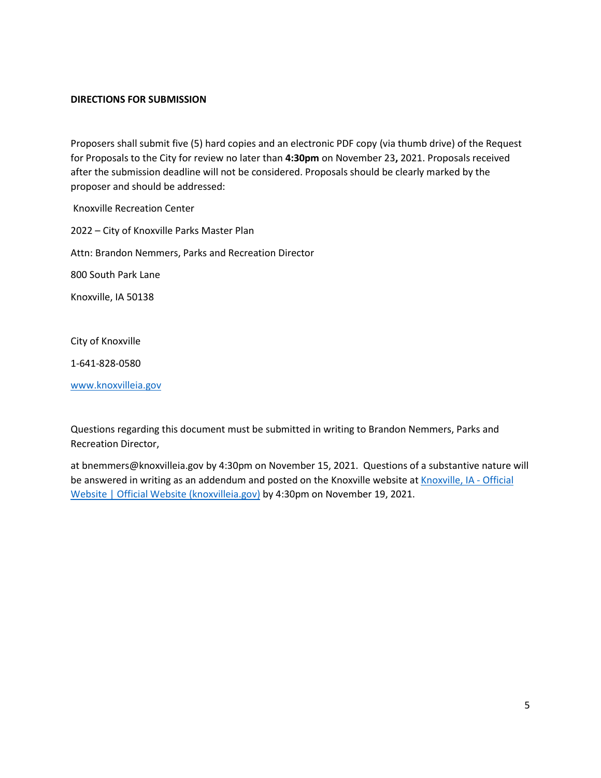## **DIRECTIONS FOR SUBMISSION**

Proposers shall submit five (5) hard copies and an electronic PDF copy (via thumb drive) of the Request for Proposals to the City for review no later than **4:30pm** on November 23**,** 2021. Proposals received after the submission deadline will not be considered. Proposals should be clearly marked by the proposer and should be addressed:

Knoxville Recreation Center 2022 – City of Knoxville Parks Master Plan Attn: Brandon Nemmers, Parks and Recreation Director 800 South Park Lane Knoxville, IA 50138

City of Knoxville

1-641-828-0580

[www.knoxvilleia.gov](http://www.knoxvilleia.gov/)

Questions regarding this document must be submitted in writing to Brandon Nemmers, Parks and Recreation Director,

at bnemmers@knoxvilleia.gov by 4:30pm on November 15, 2021. Questions of a substantive nature will be answered in writing as an addendum and posted on the Knoxville website at [Knoxville, IA -](http://www.knoxvilleia.gov/) Official [Website | Official Website \(knoxvilleia.gov\)](http://www.knoxvilleia.gov/) by 4:30pm on November 19, 2021.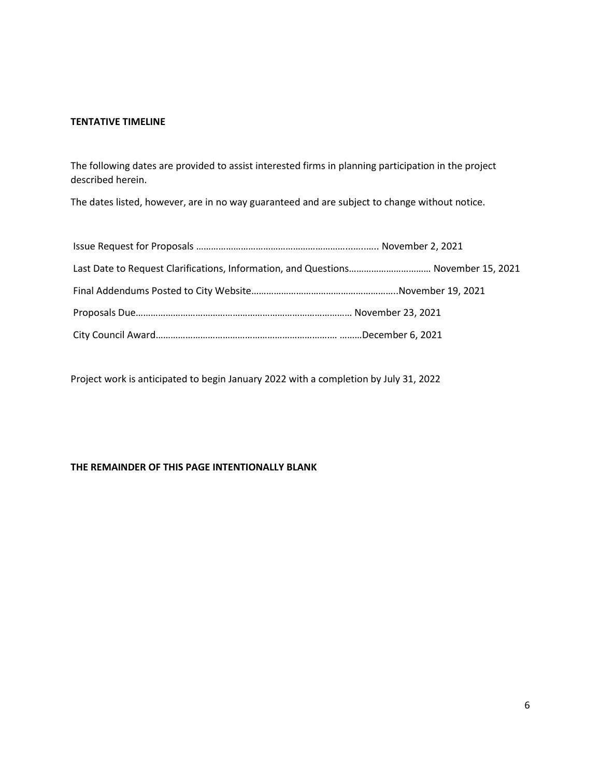### **TENTATIVE TIMELINE**

The following dates are provided to assist interested firms in planning participation in the project described herein.

The dates listed, however, are in no way guaranteed and are subject to change without notice.

| Last Date to Request Clarifications, Information, and Questions November 15, 2021 |  |
|-----------------------------------------------------------------------------------|--|
|                                                                                   |  |
|                                                                                   |  |
|                                                                                   |  |

Project work is anticipated to begin January 2022 with a completion by July 31, 2022

# **THE REMAINDER OF THIS PAGE INTENTIONALLY BLANK**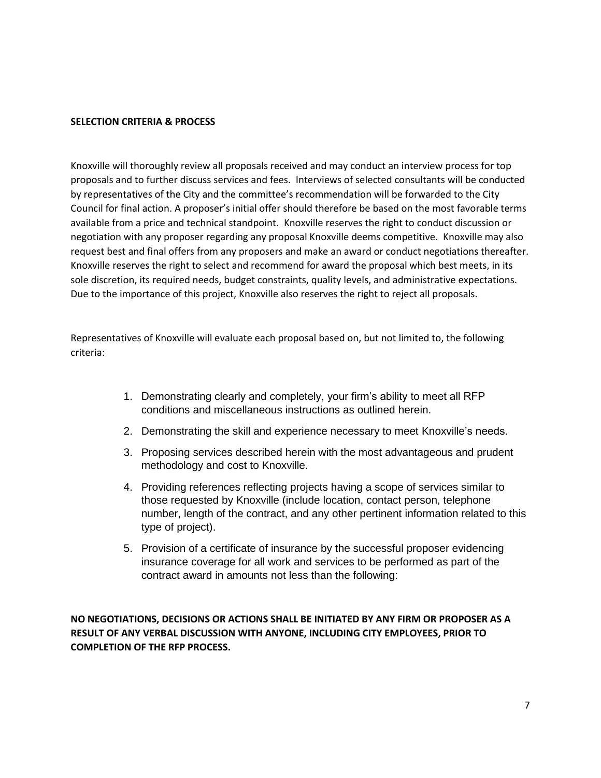### **SELECTION CRITERIA & PROCESS**

Knoxville will thoroughly review all proposals received and may conduct an interview process for top proposals and to further discuss services and fees. Interviews of selected consultants will be conducted by representatives of the City and the committee's recommendation will be forwarded to the City Council for final action. A proposer's initial offer should therefore be based on the most favorable terms available from a price and technical standpoint. Knoxville reserves the right to conduct discussion or negotiation with any proposer regarding any proposal Knoxville deems competitive. Knoxville may also request best and final offers from any proposers and make an award or conduct negotiations thereafter. Knoxville reserves the right to select and recommend for award the proposal which best meets, in its sole discretion, its required needs, budget constraints, quality levels, and administrative expectations. Due to the importance of this project, Knoxville also reserves the right to reject all proposals.

Representatives of Knoxville will evaluate each proposal based on, but not limited to, the following criteria:

- 1. Demonstrating clearly and completely, your firm's ability to meet all RFP conditions and miscellaneous instructions as outlined herein.
- 2. Demonstrating the skill and experience necessary to meet Knoxville's needs.
- 3. Proposing services described herein with the most advantageous and prudent methodology and cost to Knoxville.
- 4. Providing references reflecting projects having a scope of services similar to those requested by Knoxville (include location, contact person, telephone number, length of the contract, and any other pertinent information related to this type of project).
- 5. Provision of a certificate of insurance by the successful proposer evidencing insurance coverage for all work and services to be performed as part of the contract award in amounts not less than the following:

**NO NEGOTIATIONS, DECISIONS OR ACTIONS SHALL BE INITIATED BY ANY FIRM OR PROPOSER AS A RESULT OF ANY VERBAL DISCUSSION WITH ANYONE, INCLUDING CITY EMPLOYEES, PRIOR TO COMPLETION OF THE RFP PROCESS.**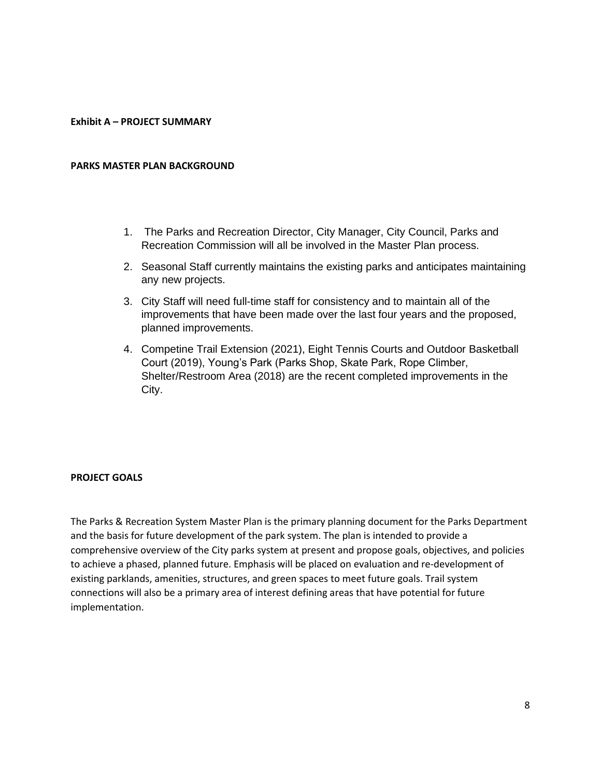### **Exhibit A – PROJECT SUMMARY**

#### **PARKS MASTER PLAN BACKGROUND**

- 1. The Parks and Recreation Director, City Manager, City Council, Parks and Recreation Commission will all be involved in the Master Plan process.
- 2. Seasonal Staff currently maintains the existing parks and anticipates maintaining any new projects.
- 3. City Staff will need full-time staff for consistency and to maintain all of the improvements that have been made over the last four years and the proposed, planned improvements.
- 4. Competine Trail Extension (2021), Eight Tennis Courts and Outdoor Basketball Court (2019), Young's Park (Parks Shop, Skate Park, Rope Climber, Shelter/Restroom Area (2018) are the recent completed improvements in the City.

#### **PROJECT GOALS**

The Parks & Recreation System Master Plan is the primary planning document for the Parks Department and the basis for future development of the park system. The plan is intended to provide a comprehensive overview of the City parks system at present and propose goals, objectives, and policies to achieve a phased, planned future. Emphasis will be placed on evaluation and re-development of existing parklands, amenities, structures, and green spaces to meet future goals. Trail system connections will also be a primary area of interest defining areas that have potential for future implementation.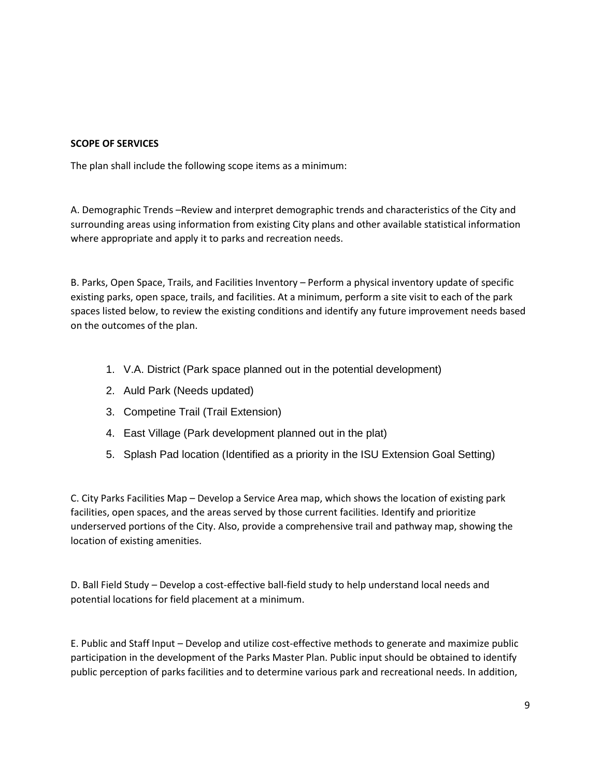# **SCOPE OF SERVICES**

The plan shall include the following scope items as a minimum:

A. Demographic Trends –Review and interpret demographic trends and characteristics of the City and surrounding areas using information from existing City plans and other available statistical information where appropriate and apply it to parks and recreation needs.

B. Parks, Open Space, Trails, and Facilities Inventory – Perform a physical inventory update of specific existing parks, open space, trails, and facilities. At a minimum, perform a site visit to each of the park spaces listed below, to review the existing conditions and identify any future improvement needs based on the outcomes of the plan.

- 1. V.A. District (Park space planned out in the potential development)
- 2. Auld Park (Needs updated)
- 3. Competine Trail (Trail Extension)
- 4. East Village (Park development planned out in the plat)
- 5. Splash Pad location (Identified as a priority in the ISU Extension Goal Setting)

C. City Parks Facilities Map – Develop a Service Area map, which shows the location of existing park facilities, open spaces, and the areas served by those current facilities. Identify and prioritize underserved portions of the City. Also, provide a comprehensive trail and pathway map, showing the location of existing amenities.

D. Ball Field Study – Develop a cost-effective ball-field study to help understand local needs and potential locations for field placement at a minimum.

E. Public and Staff Input – Develop and utilize cost-effective methods to generate and maximize public participation in the development of the Parks Master Plan. Public input should be obtained to identify public perception of parks facilities and to determine various park and recreational needs. In addition,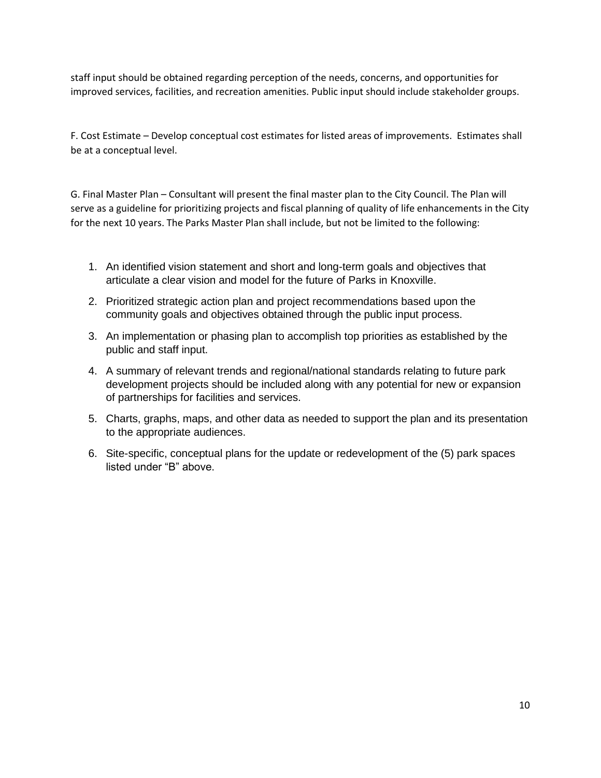staff input should be obtained regarding perception of the needs, concerns, and opportunities for improved services, facilities, and recreation amenities. Public input should include stakeholder groups.

F. Cost Estimate – Develop conceptual cost estimates for listed areas of improvements. Estimates shall be at a conceptual level.

G. Final Master Plan – Consultant will present the final master plan to the City Council. The Plan will serve as a guideline for prioritizing projects and fiscal planning of quality of life enhancements in the City for the next 10 years. The Parks Master Plan shall include, but not be limited to the following:

- 1. An identified vision statement and short and long-term goals and objectives that articulate a clear vision and model for the future of Parks in Knoxville.
- 2. Prioritized strategic action plan and project recommendations based upon the community goals and objectives obtained through the public input process.
- 3. An implementation or phasing plan to accomplish top priorities as established by the public and staff input.
- 4. A summary of relevant trends and regional/national standards relating to future park development projects should be included along with any potential for new or expansion of partnerships for facilities and services.
- 5. Charts, graphs, maps, and other data as needed to support the plan and its presentation to the appropriate audiences.
- 6. Site-specific, conceptual plans for the update or redevelopment of the (5) park spaces listed under "B" above.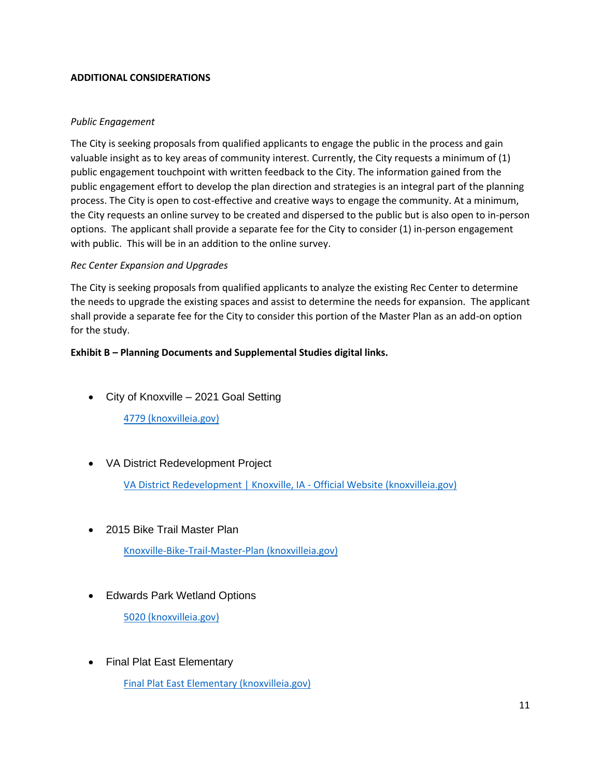# **ADDITIONAL CONSIDERATIONS**

# *Public Engagement*

The City is seeking proposals from qualified applicants to engage the public in the process and gain valuable insight as to key areas of community interest. Currently, the City requests a minimum of (1) public engagement touchpoint with written feedback to the City. The information gained from the public engagement effort to develop the plan direction and strategies is an integral part of the planning process. The City is open to cost-effective and creative ways to engage the community. At a minimum, the City requests an online survey to be created and dispersed to the public but is also open to in-person options. The applicant shall provide a separate fee for the City to consider (1) in-person engagement with public. This will be in an addition to the online survey.

# *Rec Center Expansion and Upgrades*

The City is seeking proposals from qualified applicants to analyze the existing Rec Center to determine the needs to upgrade the existing spaces and assist to determine the needs for expansion. The applicant shall provide a separate fee for the City to consider this portion of the Master Plan as an add-on option for the study.

# **Exhibit B – Planning Documents and Supplemental Studies digital links.**

• City of Knoxville – 2021 Goal Setting

[4779 \(knoxvilleia.gov\)](http://www.knoxvilleia.gov/AgendaCenter/ViewFile/Item/4779?fileID=3566)

• VA District Redevelopment Project

[VA District Redevelopment | Knoxville, IA -](https://www.knoxvilleia.gov/346/VA-District-Redevelopment) Official Website (knoxvilleia.gov)

• 2015 Bike Trail Master Plan

[Knoxville-Bike-Trail-Master-Plan \(knoxvilleia.gov\)](http://www.knoxvilleia.gov/DocumentCenter/View/498/Knoxville-Bike-Trail-Master-Plan?bidId=)

• Edwards Park Wetland Options

[5020 \(knoxvilleia.gov\)](http://www.knoxvilleia.gov/AgendaCenter/ViewFile/Item/5020?fileID=3729)

• Final Plat East Elementary

[Final Plat East Elementary \(knoxvilleia.gov\)](http://www.knoxvilleia.gov/AgendaCenter/ViewFile/Item/5000?fileID=3718)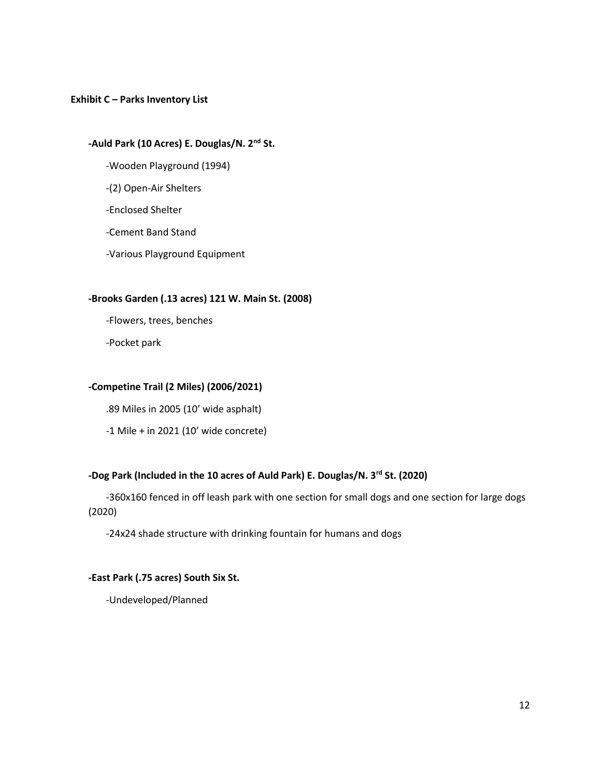## **Exhibit C – Parks Inventory List**

# **-Auld Park (10 Acres) E. Douglas/N. 2nd St.**

- -Wooden Playground (1994)
- -(2) Open-Air Shelters
- -Enclosed Shelter
- -Cement Band Stand
- -Various Playground Equipment

## **-Brooks Garden (.13 acres) 121 W. Main St. (2008)**

-Flowers, trees, benches

-Pocket park

### **-Competine Trail (2 Miles) (2006/2021)**

.89 Miles in 2005 (10' wide asphalt)

-1 Mile + in 2021 (10' wide concrete)

# **-Dog Park (Included in the 10 acres of Auld Park) E. Douglas/N. 3rd St. (2020)**

-360x160 fenced in off leash park with one section for small dogs and one section for large dogs (2020)

-24x24 shade structure with drinking fountain for humans and dogs

## **-East Park (.75 acres) South Six St.**

-Undeveloped/Planned